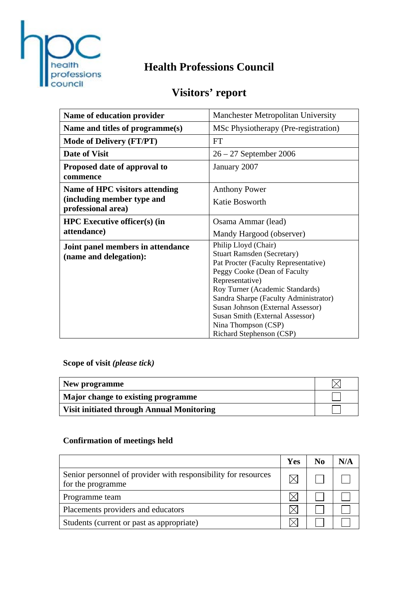

## **Health Professions Council**

# **Visitors' report**

| Name of education provider                                  | <b>Manchester Metropolitan University</b>                                                                                                                                                                                                                                                                                                                   |
|-------------------------------------------------------------|-------------------------------------------------------------------------------------------------------------------------------------------------------------------------------------------------------------------------------------------------------------------------------------------------------------------------------------------------------------|
| Name and titles of programme(s)                             | MSc Physiotherapy (Pre-registration)                                                                                                                                                                                                                                                                                                                        |
| <b>Mode of Delivery (FT/PT)</b>                             | FT                                                                                                                                                                                                                                                                                                                                                          |
| <b>Date of Visit</b>                                        | $26 - 27$ September 2006                                                                                                                                                                                                                                                                                                                                    |
| Proposed date of approval to<br>commence                    | January 2007                                                                                                                                                                                                                                                                                                                                                |
| <b>Name of HPC visitors attending</b>                       | <b>Anthony Power</b>                                                                                                                                                                                                                                                                                                                                        |
| (including member type and<br>professional area)            | Katie Bosworth                                                                                                                                                                                                                                                                                                                                              |
| <b>HPC</b> Executive officer(s) (in                         | Osama Ammar (lead)                                                                                                                                                                                                                                                                                                                                          |
| attendance)                                                 | Mandy Hargood (observer)                                                                                                                                                                                                                                                                                                                                    |
| Joint panel members in attendance<br>(name and delegation): | Philip Lloyd (Chair)<br><b>Stuart Ramsden (Secretary)</b><br>Pat Procter (Faculty Representative)<br>Peggy Cooke (Dean of Faculty<br>Representative)<br>Roy Turner (Academic Standards)<br>Sandra Sharpe (Faculty Administrator)<br>Susan Johnson (External Assessor)<br>Susan Smith (External Assessor)<br>Nina Thompson (CSP)<br>Richard Stephenson (CSP) |

**Scope of visit** *(please tick)*

| New programme                                    |  |
|--------------------------------------------------|--|
| Major change to existing programme               |  |
| <b>Visit initiated through Annual Monitoring</b> |  |

#### **Confirmation of meetings held**

|                                                                                     | Yes | No | N/A |
|-------------------------------------------------------------------------------------|-----|----|-----|
| Senior personnel of provider with responsibility for resources<br>for the programme |     |    |     |
| Programme team                                                                      |     |    |     |
| Placements providers and educators                                                  |     |    |     |
| Students (current or past as appropriate)                                           |     |    |     |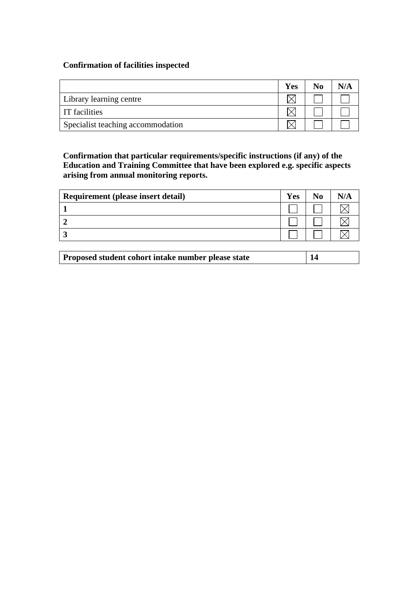#### **Confirmation of facilities inspected**

|                                   | <b>Yes</b> | No | N/A |
|-----------------------------------|------------|----|-----|
| Library learning centre           |            |    |     |
| <b>IT</b> facilities              |            |    |     |
| Specialist teaching accommodation |            |    |     |

**Confirmation that particular requirements/specific instructions (if any) of the Education and Training Committee that have been explored e.g. specific aspects arising from annual monitoring reports.** 

| Requirement (please insert detail) | <b>Yes</b> | No |  |
|------------------------------------|------------|----|--|
|                                    |            |    |  |
|                                    |            |    |  |
|                                    |            |    |  |
|                                    |            |    |  |

|  | Proposed student cohort intake number please state |  |
|--|----------------------------------------------------|--|
|--|----------------------------------------------------|--|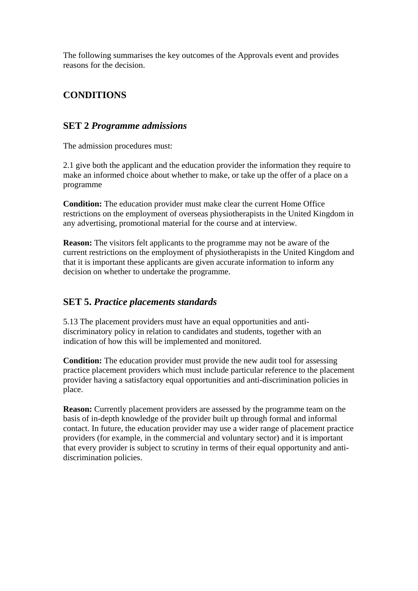The following summarises the key outcomes of the Approvals event and provides reasons for the decision.

## **CONDITIONS**

#### **SET 2** *Programme admissions*

The admission procedures must:

2.1 give both the applicant and the education provider the information they require to make an informed choice about whether to make, or take up the offer of a place on a programme

**Condition:** The education provider must make clear the current Home Office restrictions on the employment of overseas physiotherapists in the United Kingdom in any advertising, promotional material for the course and at interview.

**Reason:** The visitors felt applicants to the programme may not be aware of the current restrictions on the employment of physiotherapists in the United Kingdom and that it is important these applicants are given accurate information to inform any decision on whether to undertake the programme.

### **SET 5.** *Practice placements standards*

5.13 The placement providers must have an equal opportunities and antidiscriminatory policy in relation to candidates and students, together with an indication of how this will be implemented and monitored.

**Condition:** The education provider must provide the new audit tool for assessing practice placement providers which must include particular reference to the placement provider having a satisfactory equal opportunities and anti-discrimination policies in place.

**Reason:** Currently placement providers are assessed by the programme team on the basis of in-depth knowledge of the provider built up through formal and informal contact. In future, the education provider may use a wider range of placement practice providers (for example, in the commercial and voluntary sector) and it is important that every provider is subject to scrutiny in terms of their equal opportunity and antidiscrimination policies.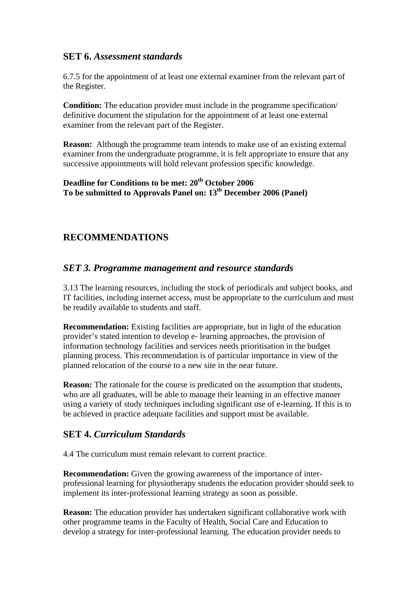#### **SET 6.** *Assessment standards*

6.7.5 for the appointment of at least one external examiner from the relevant part of the Register.

**Condition:** The education provider must include in the programme specification/ definitive document the stipulation for the appointment of at least one external examiner from the relevant part of the Register.

**Reason:** Although the programme team intends to make use of an existing external examiner from the undergraduate programme, it is felt appropriate to ensure that any successive appointments will hold relevant profession specific knowledge.

#### **Deadline for Conditions to be met: 20th October 2006**  To be submitted to Approvals Panel on: 13<sup>th</sup> December 2006 (Panel)

### **RECOMMENDATIONS**

#### *SET 3. Programme management and resource standards*

3.13 The learning resources, including the stock of periodicals and subject books, and IT facilities, including internet access, must be appropriate to the curriculum and must be readily available to students and staff.

**Recommendation:** Existing facilities are appropriate, but in light of the education provider's stated intention to develop e- learning approaches, the provision of information technology facilities and services needs prioritisation in the budget planning process. This recommendation is of particular importance in view of the planned relocation of the course to a new site in the near future.

**Reason:** The rationale for the course is predicated on the assumption that students, who are all graduates, will be able to manage their learning in an effective manner using a variety of study techniques including significant use of e-learning. If this is to be achieved in practice adequate facilities and support must be available.

#### **SET 4.** *Curriculum Standards*

4.4 The curriculum must remain relevant to current practice.

**Recommendation:** Given the growing awareness of the importance of interprofessional learning for physiotherapy students the education provider should seek to implement its inter-professional learning strategy as soon as possible.

**Reason:** The education provider has undertaken significant collaborative work with other programme teams in the Faculty of Health, Social Care and Education to develop a strategy for inter-professional learning. The education provider needs to